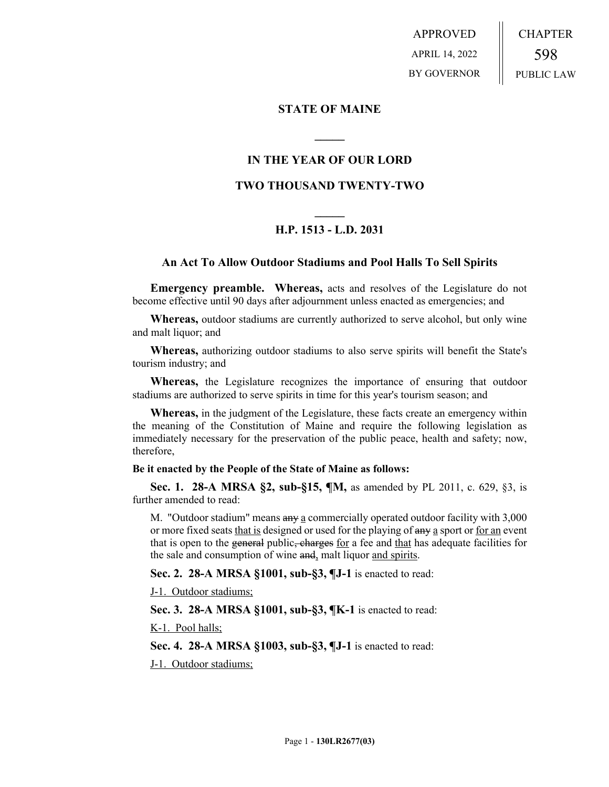APPROVED APRIL 14, 2022 BY GOVERNOR CHAPTER 598 PUBLIC LAW

## **STATE OF MAINE**

## **IN THE YEAR OF OUR LORD**

**\_\_\_\_\_**

## **TWO THOUSAND TWENTY-TWO**

# **\_\_\_\_\_ H.P. 1513 - L.D. 2031**

### **An Act To Allow Outdoor Stadiums and Pool Halls To Sell Spirits**

**Emergency preamble. Whereas,** acts and resolves of the Legislature do not become effective until 90 days after adjournment unless enacted as emergencies; and

**Whereas,** outdoor stadiums are currently authorized to serve alcohol, but only wine and malt liquor; and

**Whereas,** authorizing outdoor stadiums to also serve spirits will benefit the State's tourism industry; and

**Whereas,** the Legislature recognizes the importance of ensuring that outdoor stadiums are authorized to serve spirits in time for this year's tourism season; and

**Whereas,** in the judgment of the Legislature, these facts create an emergency within the meaning of the Constitution of Maine and require the following legislation as immediately necessary for the preservation of the public peace, health and safety; now, therefore,

#### **Be it enacted by the People of the State of Maine as follows:**

**Sec. 1. 28-A MRSA §2, sub-§15, ¶M,** as amended by PL 2011, c. 629, §3, is further amended to read:

M. "Outdoor stadium" means any a commercially operated outdoor facility with 3,000 or more fixed seats that is designed or used for the playing of any a sport or for an event that is open to the general public, charges for a fee and that has adequate facilities for the sale and consumption of wine and, malt liquor and spirits.

**Sec. 2. 28-A MRSA §1001, sub-§3, ¶J-1** is enacted to read:

J-1. Outdoor stadiums;

**Sec. 3. 28-A MRSA §1001, sub-§3, ¶K-1** is enacted to read:

K-1. Pool halls;

**Sec. 4. 28-A MRSA §1003, sub-§3, ¶J-1** is enacted to read:

J-1. Outdoor stadiums;